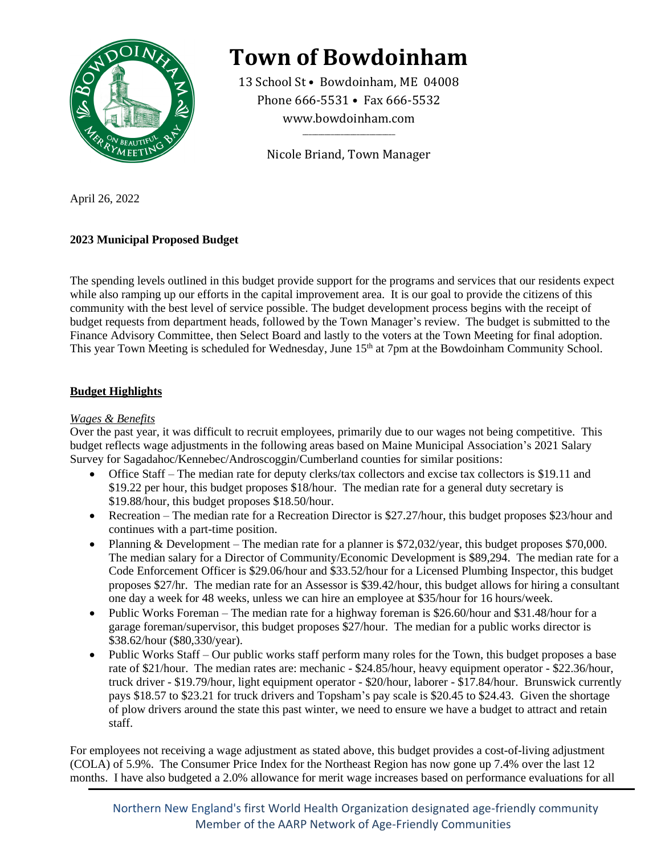

# **Town of Bowdoinham**

13 School St • Bowdoinham, ME 04008 Phone 666-5531 • Fax 666-5532 www.bowdoinham.com

Nicole Briand, Town Manager

 $\overline{\phantom{a}}$  , which is a set of the set of the set of the set of the set of the set of the set of the set of the set of the set of the set of the set of the set of the set of the set of the set of the set of the set of th

April 26, 2022

# **2023 Municipal Proposed Budget**

The spending levels outlined in this budget provide support for the programs and services that our residents expect while also ramping up our efforts in the capital improvement area. It is our goal to provide the citizens of this community with the best level of service possible. The budget development process begins with the receipt of budget requests from department heads, followed by the Town Manager's review. The budget is submitted to the Finance Advisory Committee, then Select Board and lastly to the voters at the Town Meeting for final adoption. This year Town Meeting is scheduled for Wednesday, June 15<sup>th</sup> at 7pm at the Bowdoinham Community School.

# **Budget Highlights**

## *Wages & Benefits*

Over the past year, it was difficult to recruit employees, primarily due to our wages not being competitive. This budget reflects wage adjustments in the following areas based on Maine Municipal Association's 2021 Salary Survey for Sagadahoc/Kennebec/Androscoggin/Cumberland counties for similar positions:

- Office Staff The median rate for deputy clerks/tax collectors and excise tax collectors is \$19.11 and \$19.22 per hour, this budget proposes \$18/hour. The median rate for a general duty secretary is \$19.88/hour, this budget proposes \$18.50/hour.
- Recreation The median rate for a Recreation Director is \$27.27/hour, this budget proposes \$23/hour and continues with a part-time position.
- Planning & Development The median rate for a planner is \$72,032/year, this budget proposes \$70,000. The median salary for a Director of Community/Economic Development is \$89,294. The median rate for a Code Enforcement Officer is \$29.06/hour and \$33.52/hour for a Licensed Plumbing Inspector, this budget proposes \$27/hr. The median rate for an Assessor is \$39.42/hour, this budget allows for hiring a consultant one day a week for 48 weeks, unless we can hire an employee at \$35/hour for 16 hours/week.
- Public Works Foreman The median rate for a highway foreman is \$26.60/hour and \$31.48/hour for a garage foreman/supervisor, this budget proposes \$27/hour. The median for a public works director is \$38.62/hour (\$80,330/year).
- Public Works Staff Our public works staff perform many roles for the Town, this budget proposes a base rate of \$21/hour. The median rates are: mechanic - \$24.85/hour, heavy equipment operator - \$22.36/hour, truck driver - \$19.79/hour, light equipment operator - \$20/hour, laborer - \$17.84/hour. Brunswick currently pays \$18.57 to \$23.21 for truck drivers and Topsham's pay scale is \$20.45 to \$24.43. Given the shortage of plow drivers around the state this past winter, we need to ensure we have a budget to attract and retain staff.

For employees not receiving a wage adjustment as stated above, this budget provides a cost-of-living adjustment (COLA) of 5.9%. The Consumer Price Index for the Northeast Region has now gone up 7.4% over the last 12 months. I have also budgeted a 2.0% allowance for merit wage increases based on performance evaluations for all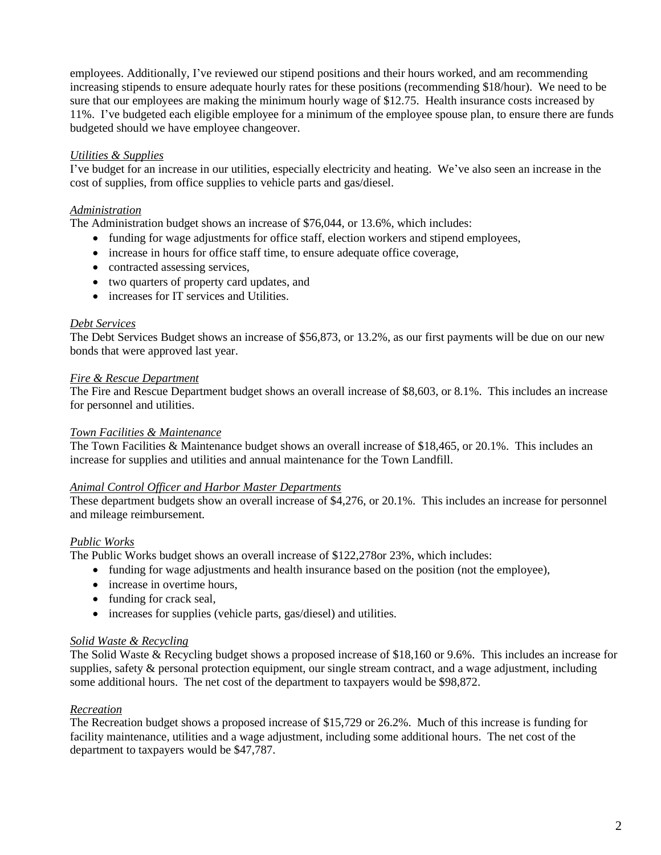employees. Additionally, I've reviewed our stipend positions and their hours worked, and am recommending increasing stipends to ensure adequate hourly rates for these positions (recommending \$18/hour). We need to be sure that our employees are making the minimum hourly wage of \$12.75. Health insurance costs increased by 11%. I've budgeted each eligible employee for a minimum of the employee spouse plan, to ensure there are funds budgeted should we have employee changeover.

## *Utilities & Supplies*

I've budget for an increase in our utilities, especially electricity and heating. We've also seen an increase in the cost of supplies, from office supplies to vehicle parts and gas/diesel.

## *Administration*

The Administration budget shows an increase of \$76,044, or 13.6%, which includes:

- funding for wage adjustments for office staff, election workers and stipend employees,
- increase in hours for office staff time, to ensure adequate office coverage,
- contracted assessing services,
- two quarters of property card updates, and
- increases for IT services and Utilities.

#### *Debt Services*

The Debt Services Budget shows an increase of \$56,873, or 13.2%, as our first payments will be due on our new bonds that were approved last year.

#### *Fire & Rescue Department*

The Fire and Rescue Department budget shows an overall increase of \$8,603, or 8.1%. This includes an increase for personnel and utilities.

#### *Town Facilities & Maintenance*

The Town Facilities & Maintenance budget shows an overall increase of \$18,465, or 20.1%. This includes an increase for supplies and utilities and annual maintenance for the Town Landfill.

#### *Animal Control Officer and Harbor Master Departments*

These department budgets show an overall increase of \$4,276, or 20.1%. This includes an increase for personnel and mileage reimbursement.

## *Public Works*

The Public Works budget shows an overall increase of \$122,278or 23%, which includes:

- funding for wage adjustments and health insurance based on the position (not the employee),
- increase in overtime hours.
- funding for crack seal,
- increases for supplies (vehicle parts, gas/diesel) and utilities.

#### *Solid Waste & Recycling*

The Solid Waste & Recycling budget shows a proposed increase of \$18,160 or 9.6%. This includes an increase for supplies, safety & personal protection equipment, our single stream contract, and a wage adjustment, including some additional hours. The net cost of the department to taxpayers would be \$98,872.

## *Recreation*

The Recreation budget shows a proposed increase of \$15,729 or 26.2%. Much of this increase is funding for facility maintenance, utilities and a wage adjustment, including some additional hours. The net cost of the department to taxpayers would be \$47,787.